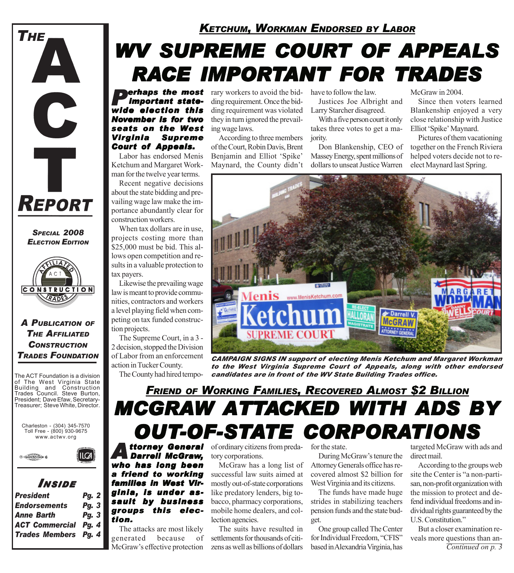

*SPECIAL 2008 ELECTION EDITION*



#### *A PUBLICATION OF THE AFFILIATED CONSTRUCTION TRADES FOUNDATION*

The ACT Foundation is a division of The West Virginia State Building and Construction Trades Council. Steve Burton, President; Dave Efaw, Secretary-Treasurer; Steve White, Director.

Charleston - (304) 345-7570 Toll Free - (800) 930-9675 www.actwv.org

 $|LCA|$ 



### *I NSIDE*

| <b>President</b>            | <b>Pg. 2</b> |
|-----------------------------|--------------|
| <b>Endorsements</b>         | <b>Pg. 3</b> |
| <b>Anne Barth</b>           | <b>Pg. 3</b> |
| <b>ACT Commercial Pg. 4</b> |              |
| <b>Trades Members Pg. 4</b> |              |
|                             |              |

### *KETCHUM, WORKMAN ENDORSED BY LABOR*

# **WV SUPREME COURT OF APPEALS** *RACE IMPORTANT FOR TRADES*

*important statewide election this November is for two seats on the West Virginia Supreme Court of Appeals.*

Labor has endorsed Menis Ketchum and Margaret Workman for the twelve year terms.

Recent negative decisions about the state bidding and prevailing wage law make the importance abundantly clear for construction workers.

When tax dollars are in use, projects costing more than \$25,000 must be bid. This allows open competition and results in a valuable protection to tax payers.

Likewise the prevailing wage law is meant to provide communities, contractors and workers a level playing field when competing on tax funded construction projects.

The Supreme Court, in a 3 - 2 decision, stopped the Division of Labor from an enforcement action in Tucker County.

The County had hired tempo-

**Perhaps the most** rary workers to avoid the bid-<br> **Important state-** ding requirement. Once the bid-<br> **Institute** of **algorithm** this ding requirement we violated Lerry Starshor discorp ding requirement. Once the bidding requirement was violated they in turn ignored the prevailing wage laws.

> According to three members of the Court, Robin Davis, Brent Benjamin and Elliot 'Spike' Maynard, the County didn't

Justices Joe Albright and

Larry Starcher disagreed. With a five person court it only

takes three votes to get a majority.

Don Blankenship, CEO of Massey Energy, spent millions of dollars to unseat Justice Warren

McGraw in 2004.

Since then voters learned Blankenship enjoyed a very close relationship with Justice Elliot 'Spike' Maynard.

Pictures of them vacationing together on the French Riviera helped voters decide not to reelect Maynard last Spring.



*CAMPAIGN SIGNS IN support of electing Menis Ketchum and Margaret Workman to the West Virginia Supreme Court of Appeals, along with other endorsed candidates are in front of the WV State Building Trades office.*

# *MCGRAW ATTACKED WITH ADS BY* **OUT-OF-STATE CORPORATIONS** *FRIEND OF WORKING FAMILIES, RECOVERED ALMOST \$2 BILLION*

*Attorney General Darrell McGraw, who has long been a friend to working families in West Vir- families in West Virginia, is under as- ginia, is under assault by business groups this elec- groups this election.*

The attacks are most likely generated because of McGraw's effective protection

of ordinary citizens from predatory corporations.

McGraw has a long list of successful law suits aimed at mostly out-of-state corporations like predatory lenders, big tobacco, pharmacy corporations, mobile home dealers, and collection agencies.

The suits have resulted in settlements for thousands of citizens as well as billions of dollars for the state.

During McGraw's tenure the Attorney Generals office has recovered almost \$2 billion for West Virginia and its citizens.

The funds have made huge strides in stabilizing teachers pension funds and the state budget.

One group called The Center for Individual Freedom, "CFIS" based in Alexandria Virginia, has

targeted McGraw with ads and direct mail.

According to the groups web site the Center is "a non-partisan, non-profit organization with the mission to protect and defend individual freedoms and individual rights guaranteed by the U.S. Constitution."

But a closer examination reveals more questions than an-*Continued on p. 3*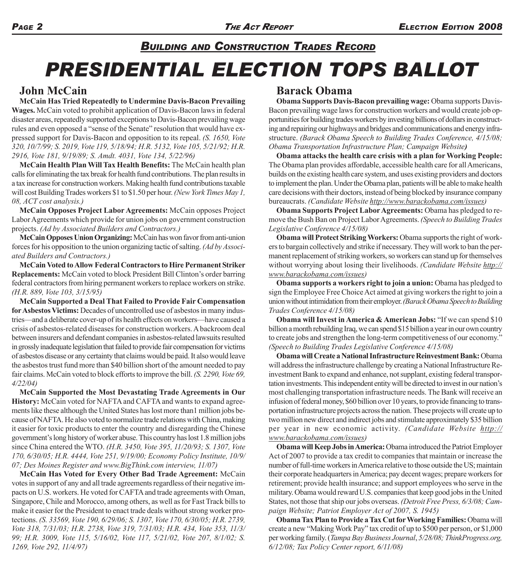# *PRESIDENTIAL ELECTION TOPS BALLOT BUILDING AND CONSTRUCTION TRADES RECORD*

### **John McCain**

**McCain Has Tried Repeatedly to Undermine Davis-Bacon Prevailing Wages.** McCain voted to prohibit application of Davis-Bacon laws in federal disaster areas, repeatedly supported exceptions to Davis-Bacon prevailing wage rules and even opposed a "sense of the Senate" resolution that would have expressed support for Davis-Bacon and opposition to its repeal. *(S. 1650, Vote 320, 10/7/99; S. 2019, Vote 119, 5/18/94; H.R. 5132, Vote 105, 5/21/92; H.R. 2916, Vote 181, 9/19/89; S. Amdt. 4031, Vote 134, 5/22/96)*

**McCain Health Plan Will Tax Health Benefits:** The McCain health plan calls for eliminating the tax break for health fund contributions. The plan results in a tax increase for construction workers. Making health fund contributions taxable will cost Building Trades workers \$1 to \$1.50 per hour. *(New York Times May 1, 08, ACT cost analysis.)*

**McCain Opposes Project Labor Agreements:** McCain opposes Project Labor Agreements which provide for union jobs on government construction projects. *(Ad by Associated Builders and Contractors.)*

**McCain Opposes Union Organizing:** McCain has won favor from anti-union forces for his opposition to the union organizing tactic of salting. *(Ad by Associated Builders and Contractors.)*

**McCain Voted to Allow Federal Contractors to Hire Permanent Striker Replacements:** McCain voted to block President Bill Clinton's order barring federal contractors from hiring permanent workers to replace workers on strike. *(H.R. 889, Vote 103, 3/15/95)*

**McCain Supported a Deal That Failed to Provide Fair Compensation for Asbestos Victims:** Decades of uncontrolled use of asbestos in many industries—and a deliberate cover-up of its health effects on workers—have caused a crisis of asbestos-related diseases for construction workers. A backroom deal between insurers and defendant companies in asbestos-related lawsuits resulted in grossly inadequate legislation that failed to provide fair compensation for victims of asbestos disease or any certainty that claims would be paid. It also would leave the asbestos trust fund more than \$40 billion short of the amount needed to pay fair claims. McCain voted to block efforts to improve the bill. *(S. 2290, Vote 69, 4/22/04)*

**McCain Supported the Most Devastating Trade Agreements in Our History:** McCain voted for NAFTA and CAFTA and wants to expand agreements like these although the United States has lost more than1 million jobs because of NAFTA. He also voted to normalize trade relations with China, making it easier for toxic products to enter the country and disregarding the Chinese government's long history of worker abuse. This country has lost 1.8 million jobs since China entered the WTO. *(H.R. 3450, Vote 395, 11/20/93; S. 1307, Vote 170, 6/30/05; H.R. 4444, Vote 251, 9/19/00; Economy Policy Institute, 10/9/ 07; Des Moines Register and www.BigThink.com interview, 11/07)*

**McCain Has Voted for Every Other Bad Trade Agreement:** McCain votes in support of any and all trade agreements regardless of their negative impacts on U.S. workers. He voted for CAFTA and trade agreements with Oman, Singapore, Chile and Morocco, among others, as well as for Fast Track bills to make it easier for the President to enact trade deals without strong worker protections. *(S. 33569, Vote 190, 6/29/06; S. 1307, Vote 170, 6/30/05; H.R. 2739, Vote 318, 7/31/03; H.R. 2738, Vote 319, 7/31/03; H.R. 434, Vote 353, 11/3/ 99; H.R. 3009, Vote 115, 5/16/02, Vote 117, 5/21/02, Vote 207, 8/1/02; S. 1269, Vote 292, 11/4/97)*

#### **Barack Obama**

**Obama Supports Davis-Bacon prevailing wage:** Obama supports Davis-Bacon prevailing wage laws for construction workers and would create job opportunities for building trades workers by investing billions of dollars in constructing and repairing our highways and bridges and communications and energy infrastructure. *(Barack Obama Speech to Building Trades Conference, 4/15/08; Obama Transportation Infrastructure Plan; Campaign Website)*

**Obama attacks the health care crisis with a plan for Working People:** The Obama plan provides affordable, accessible health care for all Americans, builds on the existing health care system, and uses existing providers and doctors to implement the plan. Under the Obama plan, patients will be able to make health care decisions with their doctors, instead of being blocked by insurance company bureaucrats. *(Candidate Website http://www.barackobama.com/issues)*

**Obama Supports Project Labor Agreements:** Obama has pledged to remove the Bush Ban on Project Labor Agreements. *(Speech to Building Trades Legislative Conference 4/15/08)*

**Obama will Protect Striking Workers:** Obama supports the right of workers to bargain collectively and strike if necessary. They will work to ban the permanent replacement of striking workers, so workers can stand up for themselves without worrying about losing their livelihoods. *(Candidate Website http:// www.barackobama.com/issues)*

**Obama supports a workers right to join a union:** Obama has pledged to sign the Employee Free Choice Act aimed at giving workers the right to join a union without intimidation from their employer. *(Barack Obama Speech to Building Trades Conference 4/15/08)*

**Obama will Invest in America & American Jobs:** "If we can spend \$10 billion a month rebuilding Iraq, we can spend \$15 billion a year in our own country to create jobs and strengthen the long-term competitiveness of our economy." *(Speech to Building Trades Legislative Conference 4/15/08)*

**Obama will Create a National Infrastructure Reinvestment Bank:** Obama will address the infrastructure challenge by creating a National Infrastructure Reinvestment Bank to expand and enhance, not supplant, existing federal transportation investments. This independent entity will be directed to invest in our nation's most challenging transportation infrastructure needs. The Bank will receive an infusion of federal money, \$60 billion over 10 years, to provide financing to transportation infrastructure projects across the nation. These projects will create up to two million new direct and indirect jobs and stimulate approximately \$35 billion per year in new economic activity. *(Candidate Website http:// www.barackobama.com/issues)*

**Obama will Keep Jobs in America:** Obama introduced the Patriot Employer Act of 2007 to provide a tax credit to companies that maintain or increase the number of full-time workers in America relative to those outside the US; maintain their corporate headquarters in America; pay decent wages; prepare workers for retirement; provide health insurance; and support employees who serve in the military. Obama would reward U.S. companies that keep good jobs in the United States, not those that ship our jobs overseas. *(Detroit Free Press, 6/3/08; Campaign Website; Patriot Employer Act of 2007, S. 1945)*

**Obama Tax Plan to Provide a Tax Cut for Working Families:** Obama will create a new "Making Work Pay" tax credit of up to \$500 per person, or \$1,000 per working family. (*Tampa Bay Business Journal*, *5/28/08; ThinkProgress.org, 6/12/08; Tax Policy Center report, 6/11/08)*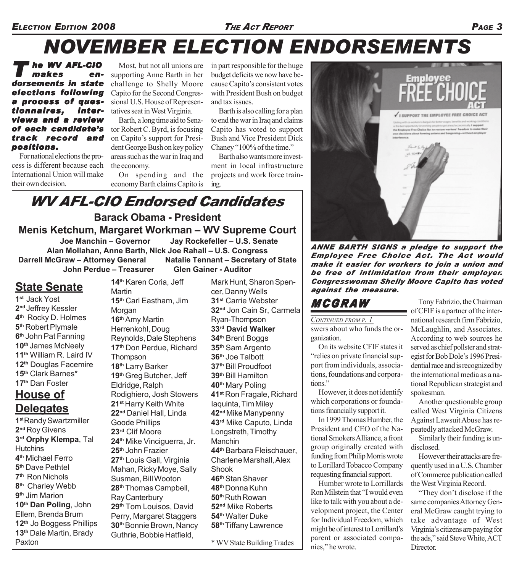# *NOVEMBER ELECTION ENDORSEMENTS*

*T he WV AFL-CIO makes en- makes endorsements in state elections following a process of ques- questionnaires, inter- interviews and a review of each candidate's track record and positions.*

For national elections the process is different because each International Union will make their own decision.

Most, but not all unions are supporting Anne Barth in her challenge to Shelly Moore Capito for the Second Congressional U.S. House of Representatives seat in West Virginia.

Barth, a long time aid to Senator Robert C. Byrd, is focusing on Capito's support for President George Bush on key policy areas such as the war in Iraq and the economy.

On spending and the economy Barth claims Capito is in part responsible for the huge budget deficits we now have because Capito's consistent votes with President Bush on budget and tax issues.

Barth is also calling for a plan to end the war in Iraq and claims Capito has voted to support Bush and Vice President Dick Chaney "100% of the time."

Barth also wants more investment in local infrastructure projects and work force training.

### **Barack Obama - President** *WV AFL-CIO Endorsed Candidates*

**Menis Ketchum, Margaret Workman – WV Supreme Court Joe Manchin – Governor Jay Rockefeller – U.S. Senate Alan Mollahan, Anne Barth, Nick Joe Rahall – U.S. Congress Darrell McGraw – Attorney General Natalie Tennant – Secretary of State John Perdue – Treasurer Glen Gainer - Auditor**

## **State Senate**

**1st** Jack Yost **2nd** Jeffrey Kessler **4th** Rocky D. Holmes **5th** Robert Plymale **6th** John Pat Fanning **10th** James McNeely **11th** William R. Laird IV **12th** Douglas Facemire **15th** Clark Barnes\* **17th** Dan Foster

### **House of Delegates**

**1s**t Randy Swartzmiller **2nd** Roy Givens **3rd Orphy Klempa**, Tal **Hutchins 4th** Michael Ferro **5th** Dave Pethtel **7th** Ron Nichols **8th** Charley Webb **9th** Jim Marion **10th Dan Poling**, John Ellem, Brenda Brum **12th** Jo Boggess Phillips **13th** Dale Martin, Brady Paxton

**14th** Karen Coria, Jeff **Martin 15th** Carl Eastham, Jim **Morgan 16th** Amy Martin Herrenkohl, Doug Reynolds, Dale Stephens **17th** Don Perdue, Richard **Thompson 18th** Larry Barker **19th** Greg Butcher, Jeff Eldridge, Ralph Rodighiero, Josh Stowers **21st** Harry Keith White **22nd** Daniel Hall, Linda Goode Phillips **23rd** Clif Moore **24th** Mike Vinciguerra, Jr. **25th** John Frazier **27th** Louis Gall, Virginia Mahan, Ricky Moye, Sally Susman, Bill Wooton **28th** Thomas Campbell, Ray Canterbury **29th** Tom Louisos, David Perry, Margaret Staggers **30th** Bonnie Brown, Nancy Guthrie, Bobbie Hatfield,

Mark Hunt, Sharon Spencer, Danny Wells **31s**<sup>t</sup> Carrie Webster **32nd** Jon Cain Sr, Carmela Ryan-Thompson **33rd David Walker 34th** Brent Boggs **35th** Sam Argento **36th** Joe Talbott **37th** Bill Proudfoot **39th** Bill Hamilton **40th** Mary Poling **41st** Ron Fragale, Richard Iaquinta, Tim Miley **42nd** Mike Manypenny **43rd** Mike Caputo, Linda Longstreth, Timothy Manchin **44th** Barbara Fleischauer, Charlene Marshall, Alex **Shook 46th** Stan Shaver **48th** Donna Kuhn **50th** Ruth Rowan **52nd** Mike Roberts **54th** Walter Duke **58th** Tiffany Lawrence

\* WV State Building Trades



*ANNE BARTH SIGNS a pledge to support the Employee Free Choice Act. The Act would make it easier for workers to join a union and be free of intimidation from their employer. Congresswoman Shelly Moore Capito has voted against the measure.*

# *MCGRAW*

swers about who funds the organization. *CONTINUED FROM P. 1*

On its website CFIF states it "relies on private financial support from individuals, associations, foundations and corporations"

However, it does not identify which corporations or foundations financially support it.

In 1999 Thomas Humber, the President and CEO of the National Smokers Alliance, a front group originally created with funding from Philip Morris wrote to Lorillard Tobacco Company requesting financial support.

Humber wrote to Lorrillards Ron Milstein that "I would even like to talk with you about a development project, the Center for Individual Freedom, which might be of interest to Lorrillard's parent or associated companies," he wrote.

Tony Fabrizio, the Chairman of CFIF is a partner of the international research firm Fabrizio, McLaughlin, and Associates. According to web sources he served as chief pollster and strategist for Bob Dole's 1996 Presidential race and is recognized by the international media as a national Republican strategist and spokesman.

Another questionable group called West Virginia Citizens Against Lawsuit Abuse has repeatedly attacked McGraw.

Similarly their funding is undisclosed.

However their attacks are frequently used in a U.S. Chamber of Commerce publication called the West Virginia Record.

"They don't disclose if the same companies Attorney General McGraw caught trying to take advantage of West Virginia's citizens are paying for the ads," said Steve White, ACT Director.